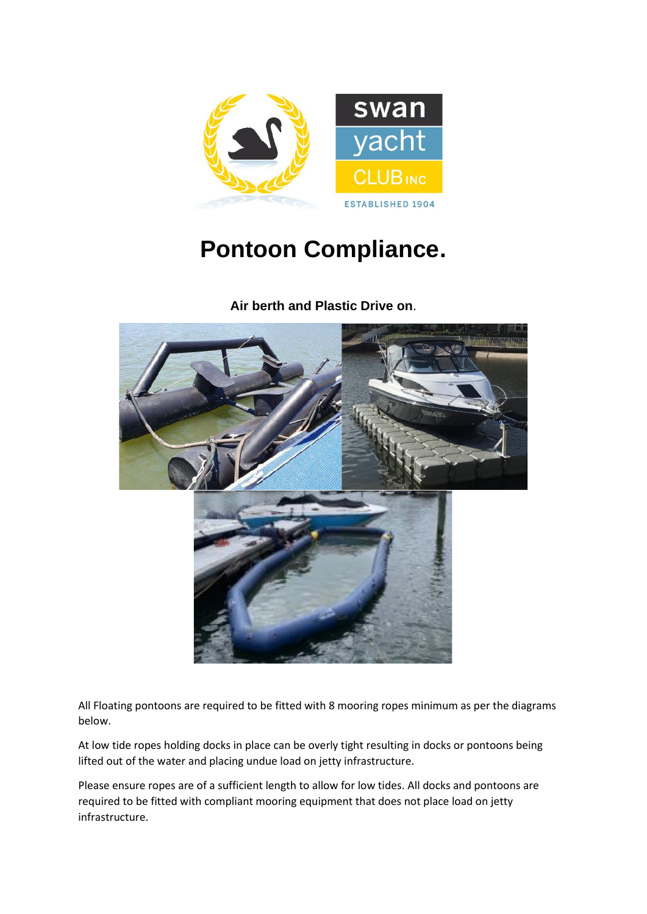

## **Pontoon Compliance.**

**Air berth and Plastic Drive on**.



All Floating pontoons are required to be fitted with 8 mooring ropes minimum as per the diagrams below.

At low tide ropes holding docks in place can be overly tight resulting in docks or pontoons being lifted out of the water and placing undue load on jetty infrastructure.

Please ensure ropes are of a sufficient length to allow for low tides. All docks and pontoons are required to be fitted with compliant mooring equipment that does not place load on jetty infrastructure.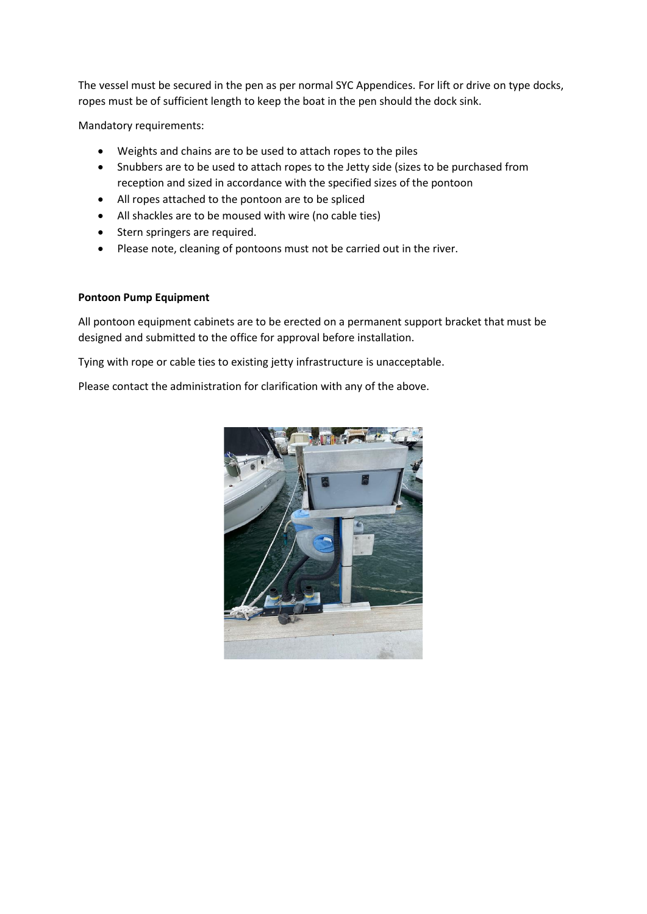The vessel must be secured in the pen as per normal SYC Appendices. For lift or drive on type docks, ropes must be of sufficient length to keep the boat in the pen should the dock sink.

Mandatory requirements:

- Weights and chains are to be used to attach ropes to the piles
- Snubbers are to be used to attach ropes to the Jetty side (sizes to be purchased from reception and sized in accordance with the specified sizes of the pontoon
- All ropes attached to the pontoon are to be spliced
- All shackles are to be moused with wire (no cable ties)
- Stern springers are required.
- Please note, cleaning of pontoons must not be carried out in the river.

## **Pontoon Pump Equipment**

All pontoon equipment cabinets are to be erected on a permanent support bracket that must be designed and submitted to the office for approval before installation.

Tying with rope or cable ties to existing jetty infrastructure is unacceptable.

Please contact the administration for clarification with any of the above.

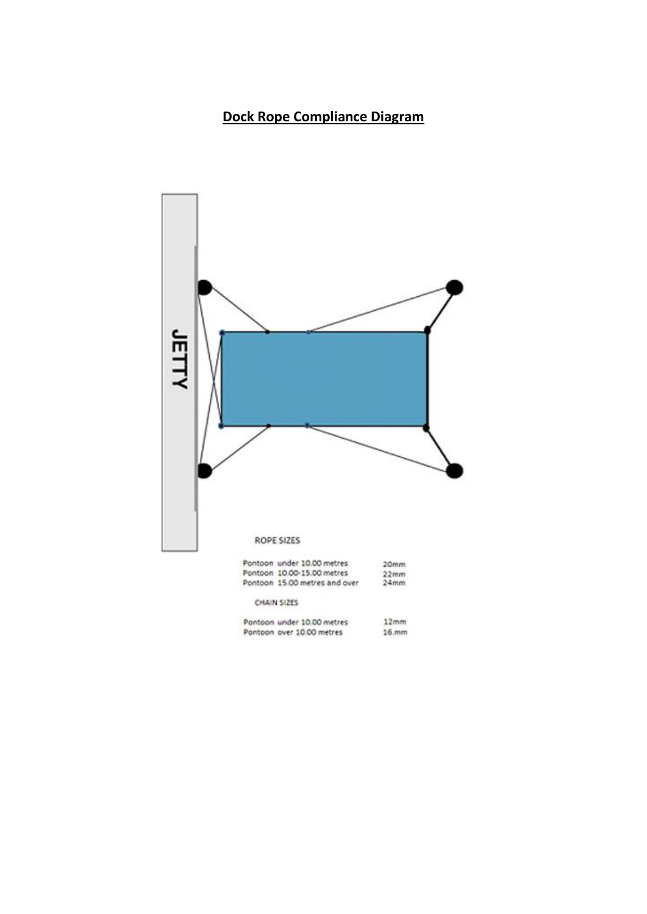## **Dock Rope Compliance Diagram**